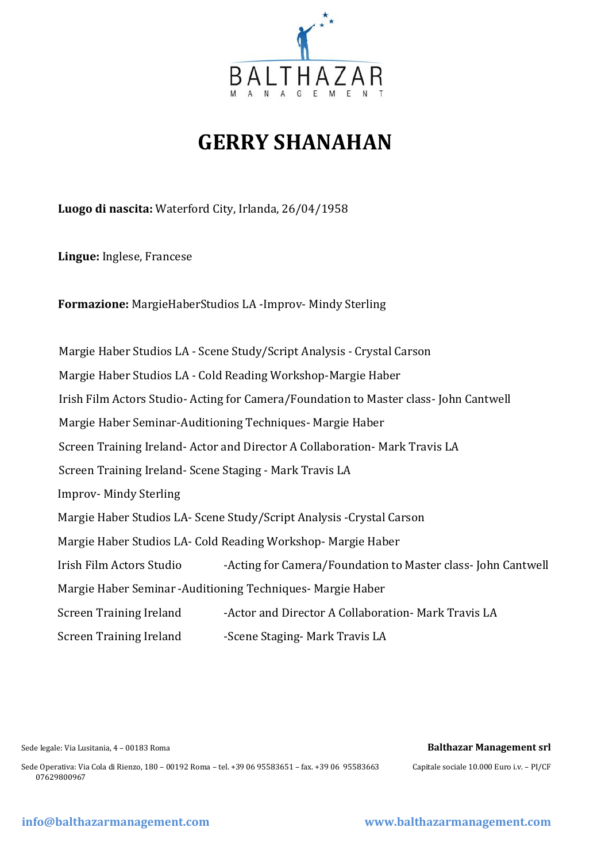

# **GERRY SHANAHAN**

**Luogo di nascita:** Waterford City, Irlanda, 26/04/1958

**Lingue:** Inglese, Francese

**Formazione:** MargieHaberStudios LA -Improv- Mindy Sterling

 Margie Haber Studios LA - Scene Study/Script Analysis - Crystal Carson Margie Haber Studios LA - Cold Reading Workshop-Margie Haber Irish Film Actors Studio- Acting for Camera/Foundation to Master class- John Cantwell Margie Haber Seminar-Auditioning Techniques- Margie Haber Screen Training Ireland- Actor and Director A Collaboration- Mark Travis LA Screen Training Ireland- Scene Staging - Mark Travis LA Improv- Mindy Sterling Margie Haber Studios LA- Scene Study/Script Analysis -Crystal Carson Margie Haber Studios LA- Cold Reading Workshop- Margie Haber Irish Film Actors Studio -Acting for Camera/Foundation to Master class- John Cantwell Margie Haber Seminar -Auditioning Techniques- Margie Haber Screen Training Ireland -Actor and Director A Collaboration- Mark Travis LA Screen Training Ireland -Scene Staging- Mark Travis LA

#### Sede legale: Via Lusitania, 4 – 00183 Roma **Balthazar Management srl**

Sede Operativa: Via Cola di Rienzo, 180 – 00192 Roma – tel. +39 06 95583651 – fax. +39 06 95583663 Capitale sociale 10.000 Euro i.v. – PI/CF 07629800967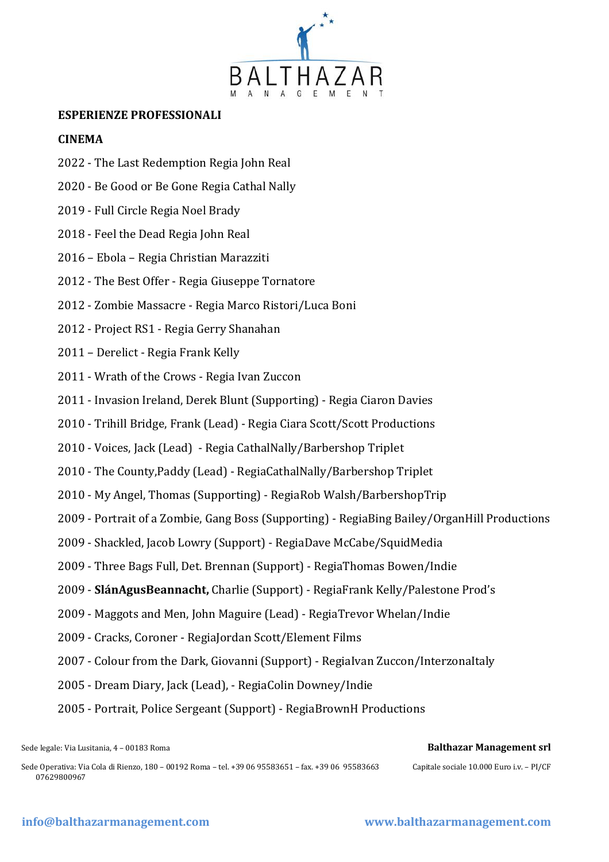

# **ESPERIENZE PROFESSIONALI**

### **CINEMA**

- 2022 The Last Redemption Regia John Real
- 2020 [Be Good or Be Gone](https://www.imdb.com/title/tt7586238/?ref_=nm_flmg_act_4) Regia Cathal Nally
- 2019 Full Circle Regia Noel Brady
- 2018 Feel the Dead Regia John Real
- 2016 Ebola Regia Christian Marazziti
- 2012 The Best Offer Regia Giuseppe Tornatore
- 2012 Zombie Massacre Regia Marco Ristori/Luca Boni
- 2012 Project RS1 Regia Gerry Shanahan
- 2011 Derelict Regia Frank Kelly
- 2011 Wrath of the Crows Regia Ivan Zuccon
- 2011 Invasion Ireland, Derek Blunt (Supporting) Regia Ciaron Davies
- 2010 Trihill Bridge, Frank (Lead) Regia Ciara Scott/Scott Productions
- 2010 Voices, Jack (Lead) Regia CathalNally/Barbershop Triplet
- 2010 The County,Paddy (Lead) RegiaCathalNally/Barbershop Triplet
- 2010 My Angel, Thomas (Supporting) RegiaRob Walsh/BarbershopTrip
- 2009 Portrait of a Zombie, Gang Boss (Supporting) RegiaBing Bailey/OrganHill Productions
- 2009 Shackled, Jacob Lowry (Support) RegiaDave McCabe/SquidMedia
- 2009 Three Bags Full, Det. Brennan (Support) RegiaThomas Bowen/Indie
- 2009 **[SlánAgusBeannacht,](http://www.filmmakersnetwork.ie/forums/showthread.php?goto=newpost&t=4379)** Charlie (Support) RegiaFrank Kelly/Palestone Prod's
- 2009 Maggots and Men, John Maguire (Lead) RegiaTrevor Whelan/Indie
- 2009 Cracks, Coroner RegiaJordan Scott/Element Films
- 2007 Colour from the Dark, Giovanni (Support) RegiaIvan Zuccon/InterzonaItaly
- 2005 Dream Diary, Jack (Lead), RegiaColin Downey/Indie
- 2005 Portrait, Police Sergeant (Support) RegiaBrownH Productions

Sede Operativa: Via Cola di Rienzo, 180 – 00192 Roma – tel. +39 06 95583651 – fax. +39 06 95583663 Capitale sociale 10.000 Euro i.v. – PI/CF 07629800967